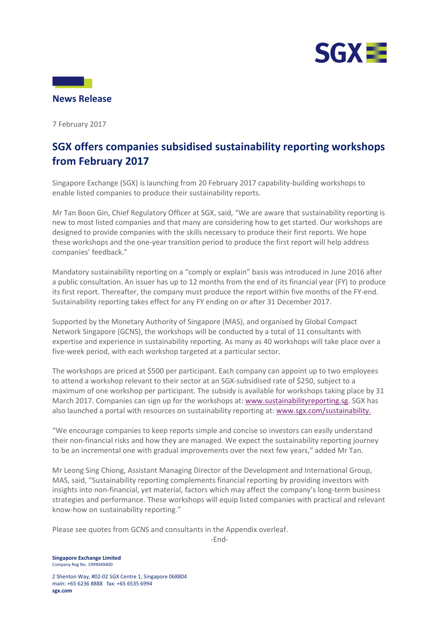



7 February 2017

## **SGX offers companies subsidised sustainability reporting workshops from February 2017**

Singapore Exchange (SGX) is launching from 20 February 2017 capability-building workshops to enable listed companies to produce their sustainability reports.

Mr Tan Boon Gin, Chief Regulatory Officer at SGX, said, "We are aware that sustainability reporting is new to most listed companies and that many are considering how to get started. Our workshops are designed to provide companies with the skills necessary to produce their first reports. We hope these workshops and the one-year transition period to produce the first report will help address companies' feedback."

Mandatory sustainability reporting on a "comply or explain" basis was introduced in June 2016 after a public consultation. An issuer has up to 12 months from the end of its financial year (FY) to produce its first report. Thereafter, the company must produce the report within five months of the FY-end. Sustainability reporting takes effect for any FY ending on or after 31 December 2017.

Supported by the Monetary Authority of Singapore (MAS), and organised by Global Compact Network Singapore (GCNS), the workshops will be conducted by a total of 11 consultants with expertise and experience in sustainability reporting. As many as 40 workshops will take place over a five-week period, with each workshop targeted at a particular sector.

The workshops are priced at \$500 per participant. Each company can appoint up to two employees to attend a workshop relevant to their sector at an SGX-subsidised rate of \$250, subject to a maximum of one workshop per participant. The subsidy is available for workshops taking place by 31 March 2017. Companies can sign up for the workshops at[: www.sustainabilityreporting.sg.](http://www.sustainabilityreporting.sg/) SGX has also launched a portal with resources on sustainability reporting at: [www.sgx.com/sustainability.](http://www.sgx.com/sustainability)

"We encourage companies to keep reports simple and concise so investors can easily understand their non-financial risks and how they are managed. We expect the sustainability reporting journey to be an incremental one with gradual improvements over the next few years," added Mr Tan.

Mr Leong Sing Chiong, Assistant Managing Director of the Development and International Group, MAS, said, "Sustainability reporting complements financial reporting by providing investors with insights into non-financial, yet material, factors which may affect the company's long-term business strategies and performance. These workshops will equip listed companies with practical and relevant know-how on sustainability reporting."

Please see quotes from GCNS and consultants in the Appendix overleaf.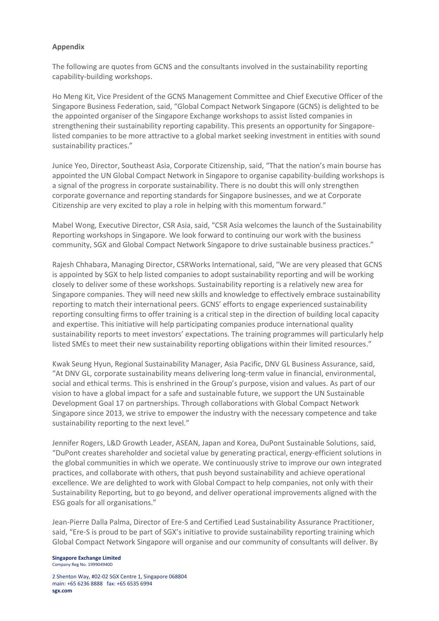## **Appendix**

The following are quotes from GCNS and the consultants involved in the sustainability reporting capability-building workshops.

Ho Meng Kit, Vice President of the GCNS Management Committee and Chief Executive Officer of the Singapore Business Federation, said, "Global Compact Network Singapore (GCNS) is delighted to be the appointed organiser of the Singapore Exchange workshops to assist listed companies in strengthening their sustainability reporting capability. This presents an opportunity for Singaporelisted companies to be more attractive to a global market seeking investment in entities with sound sustainability practices."

Junice Yeo, Director, Southeast Asia, Corporate Citizenship, said, "That the nation's main bourse has appointed the UN Global Compact Network in Singapore to organise capability-building workshops is a signal of the progress in corporate sustainability. There is no doubt this will only strengthen corporate governance and reporting standards for Singapore businesses, and we at Corporate Citizenship are very excited to play a role in helping with this momentum forward."

Mabel Wong, Executive Director, CSR Asia, said, "CSR Asia welcomes the launch of the Sustainability Reporting workshops in Singapore. We look forward to continuing our work with the business community, SGX and Global Compact Network Singapore to drive sustainable business practices."

Rajesh Chhabara, Managing Director, CSRWorks International, said, "We are very pleased that GCNS is appointed by SGX to help listed companies to adopt sustainability reporting and will be working closely to deliver some of these workshops. Sustainability reporting is a relatively new area for Singapore companies. They will need new skills and knowledge to effectively embrace sustainability reporting to match their international peers. GCNS' efforts to engage experienced sustainability reporting consulting firms to offer training is a critical step in the direction of building local capacity and expertise. This initiative will help participating companies produce international quality sustainability reports to meet investors' expectations. The training programmes will particularly help listed SMEs to meet their new sustainability reporting obligations within their limited resources."

Kwak Seung Hyun, Regional Sustainability Manager, Asia Pacific, DNV GL Business Assurance, said, "At DNV GL, corporate sustainability means delivering long-term value in financial, environmental, social and ethical terms. This is enshrined in the Group's purpose, vision and values. As part of our vision to have a global impact for a safe and sustainable future, we support the UN Sustainable Development Goal 17 on partnerships. Through collaborations with Global Compact Network Singapore since 2013, we strive to empower the industry with the necessary competence and take sustainability reporting to the next level."

Jennifer Rogers, L&D Growth Leader, ASEAN, Japan and Korea, DuPont Sustainable Solutions, said, "DuPont creates shareholder and societal value by generating practical, energy-efficient solutions in the global communities in which we operate. We continuously strive to improve our own integrated practices, and collaborate with others, that push beyond sustainability and achieve operational excellence. We are delighted to work with Global Compact to help companies, not only with their Sustainability Reporting, but to go beyond, and deliver operational improvements aligned with the ESG goals for all organisations."

Jean-Pierre Dalla Palma, Director of Ere-S and Certified Lead Sustainability Assurance Practitioner, said, "Ere-S is proud to be part of SGX's initiative to provide sustainability reporting training which Global Compact Network Singapore will organise and our community of consultants will deliver. By

**Singapore Exchange Limited** Company Reg No. 199904940D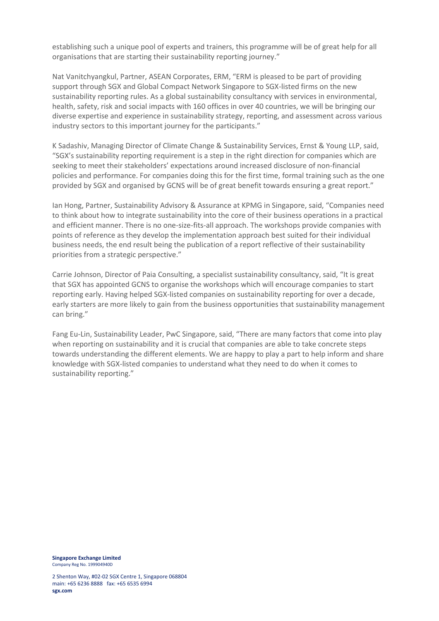establishing such a unique pool of experts and trainers, this programme will be of great help for all organisations that are starting their sustainability reporting journey."

Nat Vanitchyangkul, Partner, ASEAN Corporates, ERM, "ERM is pleased to be part of providing support through SGX and Global Compact Network Singapore to SGX-listed firms on the new sustainability reporting rules. As a global sustainability consultancy with services in environmental, health, safety, risk and social impacts with 160 offices in over 40 countries, we will be bringing our diverse expertise and experience in sustainability strategy, reporting, and assessment across various industry sectors to this important journey for the participants."

K Sadashiv, Managing Director of Climate Change & Sustainability Services, Ernst & Young LLP, said, "SGX's sustainability reporting requirement is a step in the right direction for companies which are seeking to meet their stakeholders' expectations around increased disclosure of non-financial policies and performance. For companies doing this for the first time, formal training such as the one provided by SGX and organised by GCNS will be of great benefit towards ensuring a great report."

Ian Hong, Partner, Sustainability Advisory & Assurance at KPMG in Singapore, said, "Companies need to think about how to integrate sustainability into the core of their business operations in a practical and efficient manner. There is no one-size-fits-all approach. The workshops provide companies with points of reference as they develop the implementation approach best suited for their individual business needs, the end result being the publication of a report reflective of their sustainability priorities from a strategic perspective."

Carrie Johnson, Director of Paia Consulting, a specialist sustainability consultancy, said, "It is great that SGX has appointed GCNS to organise the workshops which will encourage companies to start reporting early. Having helped SGX-listed companies on sustainability reporting for over a decade, early starters are more likely to gain from the business opportunities that sustainability management can bring."

Fang Eu-Lin, Sustainability Leader, PwC Singapore, said, "There are many factors that come into play when reporting on sustainability and it is crucial that companies are able to take concrete steps towards understanding the different elements. We are happy to play a part to help inform and share knowledge with SGX-listed companies to understand what they need to do when it comes to sustainability reporting."

**Singapore Exchange Limited** Company Reg No. 199904940D